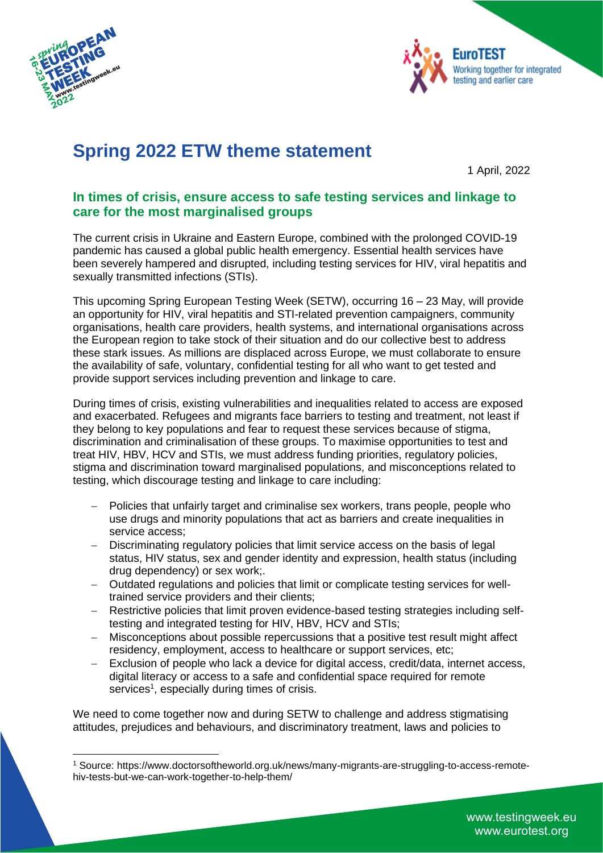



# **Spring 2022 ETW theme statement**

1 April, 2022

## **In times of crisis, ensure access to safe testing services and linkage to care for the most marginalised groups**

The current crisis in Ukraine and Eastern Europe, combined with the prolonged COVID-19 pandemic has caused a global public health emergency. Essential health services have been severely hampered and disrupted, including testing services for HIV, viral hepatitis and sexually transmitted infections (STIs).

This upcoming Spring European Testing Week (SETW), occurring 16 – 23 May, will provide an opportunity for HIV, viral hepatitis and STI-related prevention campaigners, community organisations, health care providers, health systems, and international organisations across the European region to take stock of their situation and do our collective best to address these stark issues. As millions are displaced across Europe, we must collaborate to ensure the availability of safe, voluntary, confidential testing for all who want to get tested and provide support services including prevention and linkage to care.

During times of crisis, existing vulnerabilities and inequalities related to access are exposed and exacerbated. Refugees and migrants face barriers to testing and treatment, not least if they belong to key populations and fear to request these services because of stigma, discrimination and criminalisation of these groups. To maximise opportunities to test and treat HIV, HBV, HCV and STIs, we must address funding priorities, regulatory policies, stigma and discrimination toward marginalised populations, and misconceptions related to testing, which discourage testing and linkage to care including:

- Policies that unfairly target and criminalise sex workers, trans people, people who use drugs and minority populations that act as barriers and create inequalities in service access;
- − Discriminating regulatory policies that limit service access on the basis of legal status, HIV status, sex and gender identity and expression, health status (including drug dependency) or sex work;.
- − Outdated regulations and policies that limit or complicate testing services for welltrained service providers and their clients;
- − Restrictive policies that limit proven evidence-based testing strategies including selftesting and integrated testing for HIV, HBV, HCV and STIs;
- − Misconceptions about possible repercussions that a positive test result might affect residency, employment, access to healthcare or support services, etc;
- − Exclusion of people who lack a device for digital access, credit/data, internet access, digital literacy or access to a safe and confidential space required for remote services<sup>1</sup>, especially during times of crisis.

We need to come together now and during SETW to challenge and address stigmatising attitudes, prejudices and behaviours, and discriminatory treatment, laws and policies to

<sup>1</sup> Source: https://www.doctorsoftheworld.org.uk/news/many-migrants-are-struggling-to-access-remotehiv-tests-but-we-can-work-together-to-help-them/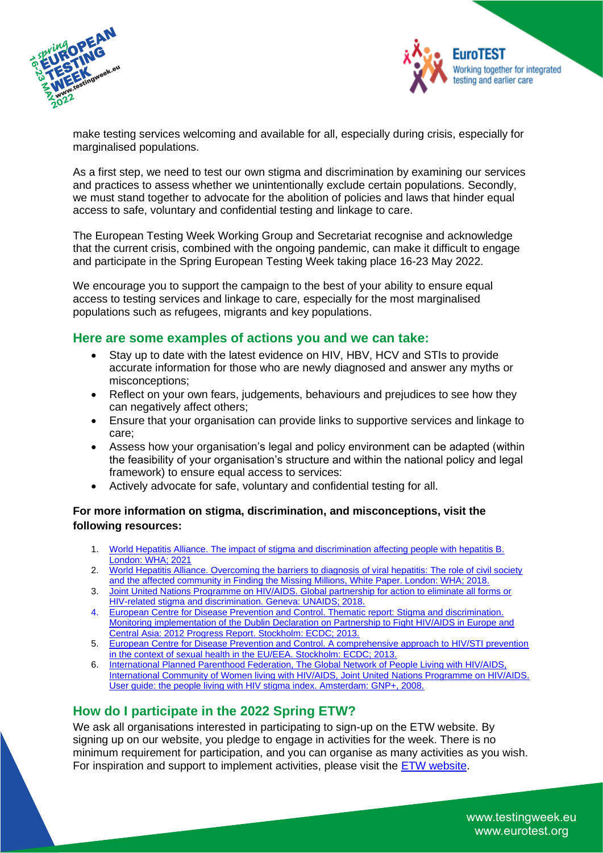



make testing services welcoming and available for all, especially during crisis, especially for marginalised populations.

As a first step, we need to test our own stigma and discrimination by examining our services and practices to assess whether we unintentionally exclude certain populations. Secondly, we must stand together to advocate for the abolition of policies and laws that hinder equal access to safe, voluntary and confidential testing and linkage to care.

The European Testing Week Working Group and Secretariat recognise and acknowledge that the current crisis, combined with the ongoing pandemic, can make it difficult to engage and participate in the Spring European Testing Week taking place 16-23 May 2022.

We encourage you to support the campaign to the best of your ability to ensure equal access to testing services and linkage to care, especially for the most marginalised populations such as refugees, migrants and key populations.

### **Here are some examples of actions you and we can take:**

- Stay up to date with the latest evidence on HIV, HBV, HCV and STIs to provide accurate information for those who are newly diagnosed and answer any myths or misconceptions;
- Reflect on your own fears, judgements, behaviours and prejudices to see how they can negatively affect others;
- Ensure that your organisation can provide links to supportive services and linkage to care;
- Assess how your organisation's legal and policy environment can be adapted (within the feasibility of your organisation's structure and within the national policy and legal framework) to ensure equal access to services:
- Actively advocate for safe, voluntary and confidential testing for all.

#### **For more information on stigma, discrimination, and misconceptions, visit the following resources:**

- 1. World Hepatitis Alliance. The impact of [stigma and discrimination affecting people with hepatitis B.](https://www.worldhepatitisalliance.org/wp-content/uploads/2021/11/WHA-Report-2021-Final.pdf)  [London: WHA; 2021](https://www.worldhepatitisalliance.org/wp-content/uploads/2021/11/WHA-Report-2021-Final.pdf)
- 2. World Hepatitis Alliance. Overcoming the barriers to diagnosis of viral hepatitis: The role of civil society [and the affected community in Finding the Missing Millions, White Paper. London: WHA; 2018.](https://www.worldhepatitisalliance.org/missing-millions/wp-content/uploads/2018/07/Overcoming-the-barriers-to-diagnosis-white-paper-1.pdf)
- 3. [Joint United Nations Programme on HIV/AIDS. Global partnership for action to eliminate all forms or](https://www.unaids.org/sites/default/files/media_asset/global-partnership-hiv-stigma-discrimination_en.pdf)  [HIV-related stigma and discrimination. Geneva: UNAIDS; 2018.](https://www.unaids.org/sites/default/files/media_asset/global-partnership-hiv-stigma-discrimination_en.pdf)
- 4. [European Centre for Disease Prevention and Control. Thematic report: Stigma and discrimination.](https://www.ecdc.europa.eu/sites/default/files/media/en/publications/Publications/dublin-declaration-monitoring-report-stigma-discrimination-september-2013.pdf)  [Monitoring implementation of the Dublin Declaration on Partnership to Fight HIV/AIDS in Europe and](https://www.ecdc.europa.eu/sites/default/files/media/en/publications/Publications/dublin-declaration-monitoring-report-stigma-discrimination-september-2013.pdf)  [Central Asia: 2012 Progress Report. Stockholm: ECDC; 2013.](https://www.ecdc.europa.eu/sites/default/files/media/en/publications/Publications/dublin-declaration-monitoring-report-stigma-discrimination-september-2013.pdf)
- 5. [European Centre for Disease Prevention and Control. A comprehensive approach to HIV/STI prevention](https://www.ecdc.europa.eu/sites/default/files/media/en/publications/Publications/HVI-STI-prevention-comprehensive-approach-in-the-context-of-sexual-health-EU-EEA.pdf)  [in the context of sexual health in the EU/EEA. Stockholm: ECDC; 2013.](https://www.ecdc.europa.eu/sites/default/files/media/en/publications/Publications/HVI-STI-prevention-comprehensive-approach-in-the-context-of-sexual-health-EU-EEA.pdf)
- 6. [International Planned Parenthood Federation, The Global Network of People Living with HIV/AIDS,](https://www.aidsdatahub.org/resource/people-living-hiv-stigma-index-user-guide)  [International Community of Women living with HIV/AIDS, Joint United](https://www.aidsdatahub.org/resource/people-living-hiv-stigma-index-user-guide) Nations Programme on HIV/AIDS. [User guide: the people living with HIV stigma index. Amsterdam: GNP+, 2008.](https://www.aidsdatahub.org/resource/people-living-hiv-stigma-index-user-guide)

## **How do I participate in the 2022 Spring ETW?**

We ask all organisations interested in participating to sign-up on the ETW website. By signing up on our website, you pledge to engage in activities for the week. There is no minimum requirement for participation, and you can organise as many activities as you wish. For inspiration and support to implement activities, please visit the [ETW website.](http://www.testingweek.eu/)